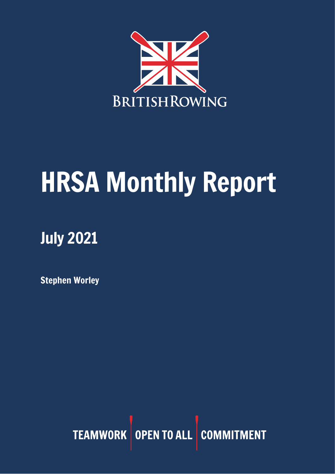

# HRSA Monthly Report

## July 2021

Stephen Worley

TEAMWORK OPEN TO ALL COMMITMENT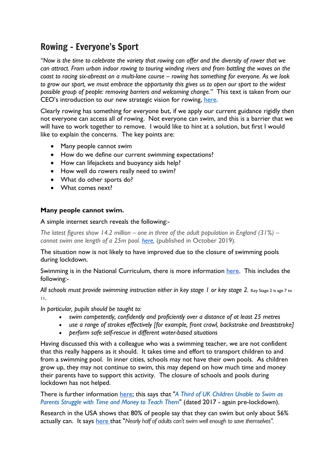## Rowing – Everyone's Sport

*"Now is the time to celebrate the variety that rowing can offer and the diversity of rower that we can attract. From urban indoor rowing to touring winding rivers and from battling the waves on the coast to racing six-abreast on a multi-lane course – rowing has something for everyone. As we look to grow our sport, we must embrace the opportunity this gives us to open our sport to the widest possible group of people: removing barriers and welcoming change."* This text is taken from our CEO's introduction to our new strategic vision for rowing, [here.](https://www.britishrowing.org/2021/07/rowing-everyones-sport/)

Clearly rowing has something for everyone but, if we apply our current guidance rigidly then not everyone can access all of rowing. Not everyone can swim, and this is a barrier that we will have to work together to remove. I would like to hint at a solution, but first I would like to explain the concerns. The key points are:

- Many people cannot swim
- How do we define our current swimming expectations?
- How can lifejackets and buoyancy aids help?
- How well do rowers really need to swim?
- What do other sports do?
- What comes next?

#### **Many people cannot swim.**

A simple internet search reveals the following:-

*The latest figures show 14.2 million – one in three of the adult population in England (31%) – cannot swim one length of a 25m pool. [here,](https://www.swimming.org/swimengland/one-three-adults-cannot-swim/)* (published in October 2019).

The situation now is not likely to have improved due to the closure of swimming pools during lockdown.

Swimming is in the National Curriculum, there is more information [here.](https://www.gov.uk/government/publications/national-curriculum-in-england-physical-education-programmes-of-study/national-curriculum-in-england-physical-education-programmes-of-study) This includes the following:-

*All schools must provide swimming instruction either in key stage 1 or key stage 2.* Key Stage 2 is age 7 to 11.

*In particular, pupils should be taught to:*

- *swim competently, confidently and proficiently over a distance of at least 25 metres*
- *use a range of strokes effectively [for example, front crawl, backstroke and breaststroke]*
- *perform safe self-rescue in different water-based situations*

Having discussed this with a colleague who was a swimming teacher, we are not confident that this really happens as it should. It takes time and effort to transport children to and from a swimming pool. In inner cities, schools may not have their own pools. As children grow up, they may not continue to swim, this may depend on how much time and money their parents have to support this activity. The closure of schools and pools during lockdown has not helped.

There is further information [here;](https://www.totalswimming.co.uk/news-asa-reveals-1-in-3-children-cant-swim-when-leaving-primary-schools) this says that "*A Third of UK Children Unable to Swim as Parents Struggle with Time and Money to Teach Them*" (dated 2017 - again pre-lockdown).

Research in the USA shows that 80% of people say that they can swim but only about 56% actually can. It says [here](https://www.wrcbtv.com/story/25566393/more-than-half-of-americans-cant-swim-well-enough-to-save-themselves-can-you) that "*Nearly half of adults can't swim well enough to save themselves".*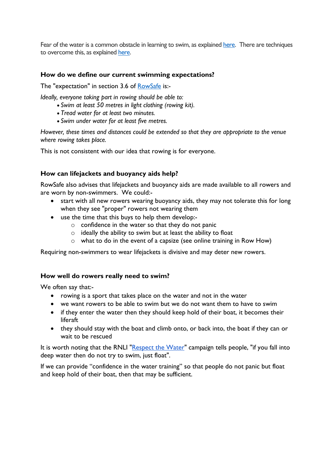Fear of the water is a common obstacle in learning to swim, as explained [here.](https://weaquatics.com/blog/obstacles-to-starting-adult-swim-lessons-how-to-overcome-them/) There are techniques to overcome this, as explained [here.](https://www.swimming.org/learntoswim/tips-to-help-overcome-a-fear-of-swimming/)

#### **How do we define our current swimming expectations?**

The "expectation" in section 3.6 of [RowSafe](https://www.britishrowing.org/wp-content/uploads/2021/04/2021-RowSafe.pdf) is:-

*Ideally, everyone taking part in rowing should be able to:*

- *Swim at least 50 metres in light clothing (rowing kit).*
- *Tread water for at least two minutes.*
- *Swim under water for at least five metres.*

*However, these times and distances could be extended so that they are appropriate to the venue where rowing takes place.* 

This is not consistent with our idea that rowing is for everyone.

#### **How can lifejackets and buoyancy aids help?**

RowSafe also advises that lifejackets and buoyancy aids are made available to all rowers and are worn by non-swimmers. We could:-

- start with all new rowers wearing buoyancy aids, they may not tolerate this for long when they see "proper" rowers not wearing them
- use the time that this buys to help them develop:
	- o confidence in the water so that they do not panic
		- $\circ$  ideally the ability to swim but at least the ability to float
		- o what to do in the event of a capsize (see online training in Row How)

Requiring non-swimmers to wear lifejackets is divisive and may deter new rowers.

#### **How well do rowers really need to swim?**

We often say that:-

- rowing is a sport that takes place on the water and not in the water
- we want rowers to be able to swim but we do not want them to have to swim
- if they enter the water then they should keep hold of their boat, it becomes their liferaft
- they should stay with the boat and climb onto, or back into, the boat if they can or wait to be rescued

It is worth noting that the RNLI ["Respect](https://rnli.org/safety/respect-the-water) the Water" campaign tells people, "if you fall into deep water then do not try to swim, just float".

If we can provide "confidence in the water training" so that people do not panic but float and keep hold of their boat, then that may be sufficient.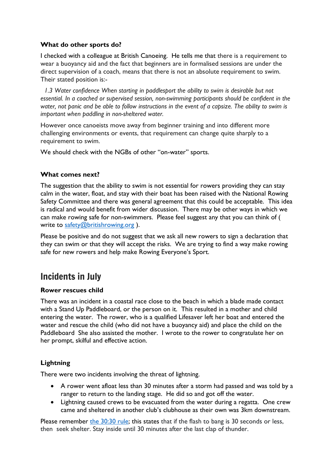## **What do other sports do?**

I checked with a colleague at British Canoeing. He tells me that there is a requirement to wear a buoyancy aid and the fact that beginners are in formalised sessions are under the direct supervision of a coach, means that there is not an absolute requirement to swim. Their stated position is:-

 *1.3 Water confidence When starting in paddlesport the ability to swim is desirable but not essential. In a coached or supervised session, non-swimming participants should be confident in the* water, not panic and be able to follow instructions in the event of a capsize. The ability to swim is *important when paddling in non-sheltered water.* 

However once canoeists move away from beginner training and into different more challenging environments or events, that requirement can change quite sharply to a requirement to swim.

We should check with the NGBs of other "on-water" sports.

## **What comes next?**

The suggestion that the ability to swim is not essential for rowers providing they can stay calm in the water, float, and stay with their boat has been raised with the National Rowing Safety Committee and there was general agreement that this could be acceptable. This idea is radical and would benefit from wider discussion. There may be other ways in which we can make rowing safe for non-swimmers. Please feel suggest any that you can think of ( write to [safety@britishrowing.org](mailto:safety@britishrowing.org)).

Please be positive and do not suggest that we ask all new rowers to sign a declaration that they can swim or that they will accept the risks. We are trying to find a way make rowing safe for new rowers and help make Rowing Everyone's Sport.

## Incidents in July

## **Rower rescues child**

There was an incident in a coastal race close to the beach in which a blade made contact with a Stand Up Paddleboard, or the person on it. This resulted in a mother and child entering the water. The rower, who is a qualified Lifesaver left her boat and entered the water and rescue the child (who did not have a buoyancy aid) and place the child on the Paddleboard She also assisted the mother. I wrote to the rower to congratulate her on her prompt, skilful and effective action.

## **Lightning**

There were two incidents involving the threat of lightning.

- A rower went afloat less than 30 minutes after a storm had passed and was told by a ranger to return to the landing stage. He did so and got off the water.
- Lightning caused crews to be evacuated from the water during a regatta. One crew came and sheltered in another club's clubhouse as their own was 3km downstream.

Please remember [the 30:30 rule;](https://www.rospa.com/leisure-safety/advice/lightning) this states that if the flash to bang is 30 seconds or less, then seek shelter. Stay inside until 30 minutes after the last clap of thunder.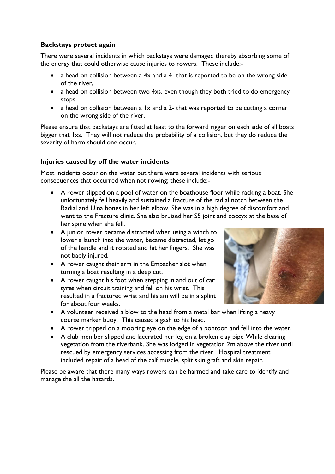## **Backstays protect again**

There were several incidents in which backstays were damaged thereby absorbing some of the energy that could otherwise cause injuries to rowers. These include:-

- a head on collision between a 4x and a 4- that is reported to be on the wrong side of the river,
- a head on collision between two 4xs, even though they both tried to do emergency stops
- a head on collision between a 1x and a 2- that was reported to be cutting a corner on the wrong side of the river.

Please ensure that backstays are fitted at least to the forward rigger on each side of all boats bigger that 1xs. They will not reduce the probability of a collision, but they do reduce the severity of harm should one occur.

## **Injuries caused by off the water incidents**

Most incidents occur on the water but there were several incidents with serious consequences that occurred when not rowing; these include:-

- A rower slipped on a pool of water on the boathouse floor while racking a boat. She unfortunately fell heavily and sustained a fracture of the radial notch between the Radial and Ulna bones in her left elbow. She was in a high degree of discomfort and went to the Fracture clinic. She also bruised her S5 joint and coccyx at the base of her spine when she fell.
- A junior rower became distracted when using a winch to lower a launch into the water, became distracted, let go of the handle and it rotated and hit her fingers. She was not badly injured.
- A rower caught their arm in the Empacher slot when turning a boat resulting in a deep cut.
- A rower caught his foot when stepping in and out of car tyres when circuit training and fell on his wrist. This resulted in a fractured wrist and his am will be in a splint for about four weeks.



- A volunteer received a blow to the head from a metal bar when lifting a heavy course marker buoy. This caused a gash to his head.
- A rower tripped on a mooring eye on the edge of a pontoon and fell into the water.
- A club member slipped and lacerated her leg on a broken clay pipe While clearing vegetation from the riverbank. She was lodged in vegetation 2m above the river until rescued by emergency services accessing from the river. Hospital treatment included repair of a head of the calf muscle, split skin graft and skin repair.

Please be aware that there many ways rowers can be harmed and take care to identify and manage the all the hazards.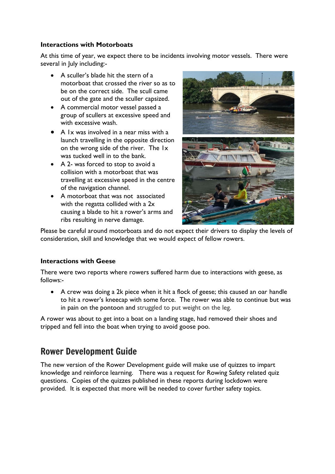### **Interactions with Motorboats**

At this time of year, we expect there to be incidents involving motor vessels. There were several in July including:-

- A sculler's blade hit the stern of a motorboat that crossed the river so as to be on the correct side. The scull came out of the gate and the sculler capsized.
- A commercial motor vessel passed a group of scullers at excessive speed and with excessive wash.
- A 1x was involved in a near miss with a launch travelling in the opposite direction on the wrong side of the river. The 1x was tucked well in to the bank.
- A 2- was forced to stop to avoid a collision with a motorboat that was travelling at excessive speed in the centre of the navigation channel.
- A motorboat that was not associated with the regatta collided with a 2x causing a blade to hit a rower's arms and ribs resulting in nerve damage.



Please be careful around motorboats and do not expect their drivers to display the levels of consideration, skill and knowledge that we would expect of fellow rowers.

## **Interactions with Geese**

There were two reports where rowers suffered harm due to interactions with geese, as follows:-

• A crew was doing a 2k piece when it hit a flock of geese; this caused an oar handle to hit a rower's kneecap with some force. The rower was able to continue but was in pain on the pontoon and struggled to put weight on the leg.

A rower was about to get into a boat on a landing stage, had removed their shoes and tripped and fell into the boat when trying to avoid goose poo.

## Rower Development Guide

The new version of the Rower Development guide will make use of quizzes to impart knowledge and reinforce learning. There was a request for Rowing Safety related quiz questions. Copies of the quizzes published in these reports during lockdown were provided. It is expected that more will be needed to cover further safety topics.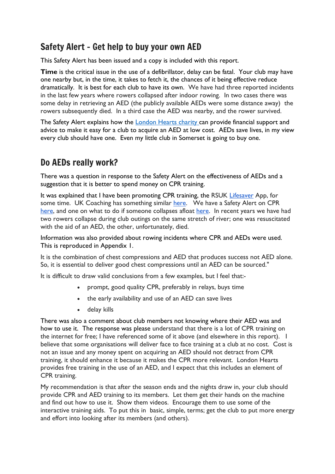## Safety Alert – Get help to buy your own AED

This Safety Alert has been issued and a copy is included with this report.

**Time** is the critical issue in the use of a defibrillator, delay can be fatal. Your club may have one nearby but, in the time, it takes to fetch it, the chances of it being effective reduce dramatically. It is best for each club to have its own. We have had three reported incidents in the last few years where rowers collapsed after indoor rowing. In two cases there was some delay in retrieving an AED (the publicly available AEDs were some distance away) the rowers subsequently died. In a third case the AED was nearby, and the rower survived.

The Safety Alert explains how the **London Hearts charity can provide financial support and** advice to make it easy for a club to acquire an AED at low cost. AEDs save lives, in my view every club should have one. Even my little club in Somerset is going to buy one.

## Do AEDs really work?

There was a question in response to the Safety Alert on the effectiveness of AEDs and a suggestion that it is better to spend money on CPR training.

It was explained that I have been promoting CPR training, the RSUK [Lifesaver](https://www.resus.org.uk/public-resource/how-we-save-lives/lifesaver-learning#:~:text=Lifesaver%20is%20a%20collaboration%20between%20Resuscitation%20Council%20UK,a%20cast%20which%20includes%20Star%20Wars%E2%80%99%20Daisy%20Ridley.) App, for some time. UK Coaching has something similar [here.](https://www.ukcoaching.org/courses/elearning-courses/sudden-cardiac-arrest) We have a Safety Alert on CPR [here,](https://www.britishrowing.org/wp-content/uploads/2016/07/Safety-Alert-Staying-Alive-FINAL.pdf) and one on what to do if someone collapses afloat [here.](https://www.britishrowing.org/wp-content/uploads/2019/02/Safety-Alert-What-to-do-if-a-rower-collapses-in-a-boat.pdf) In recent years we have had two rowers collapse during club outings on the same stretch of river; one was resuscitated with the aid of an AED, the other, unfortunately, died.

Information was also provided about rowing incidents where CPR and AEDs were used. This is reproduced in Appendix 1.

It is the combination of chest compressions and AED that produces success not AED alone. So, it is essential to deliver good chest compressions until an AED can be sourced."

It is difficult to draw valid conclusions from a few examples, but I feel that:-

- prompt, good quality CPR, preferably in relays, buys time
- the early availability and use of an AED can save lives
- delay kills

There was also a comment about club members not knowing where their AED was and how to use it. The response was please understand that there is a lot of CPR training on the internet for free; I have referenced some of it above (and elsewhere in this report). I believe that some organisations will deliver face to face training at a club at no cost. Cost is not an issue and any money spent on acquiring an AED should not detract from CPR training, it should enhance it because it makes the CPR more relevant. London Hearts provides free training in the use of an AED, and I expect that this includes an element of CPR training.

My recommendation is that after the season ends and the nights draw in, your club should provide CPR and AED training to its members. Let them get their hands on the machine and find out how to use it. Show them videos. Encourage them to use some of the interactive training aids. To put this in basic, simple, terms; get the club to put more energy and effort into looking after its members (and others).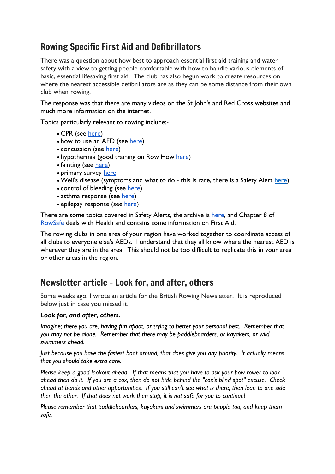## Rowing Specific First Aid and Defibrillators

There was a question about how best to approach essential first aid training and water safety with a view to getting people comfortable with how to handle various elements of basic, essential lifesaving first aid. The club has also begun work to create resources on where the nearest accessible defibrillators are as they can be some distance from their own club when rowing.

The response was that there are many videos on the St John's and Red Cross websites and much more information on the internet.

Topics particularly relevant to rowing include:-

- CPR (see [here\)](https://www.resus.org.uk/public-resource/how-we-save-lives/lifesaver-learning/lifesaver)
- how to use an AED (see [here\)](https://www.sja.org.uk/get-advice/first-aid-advice/how-to/how-to-use-a-defibrillator/)
- concussion (see [here\)](https://www.sja.org.uk/get-advice/first-aid-advice/head-injuries/adult-head-injury/)
- hypothermia (good training on Row How [here\)](https://www.rowhow.org/course/view.php?id=165)
- fainting (see [here\)](https://www.sja.org.uk/get-advice/first-aid-advice/unresponsive-casualty/fainting/)
- primary survey [here](https://www.sja.org.uk/get-advice/first-aid-advice/how-to/how-to-do-the-primary-survey/)
- Weil's disease (symptoms and what to do this is rare, there is a Safety Alert [here\)](https://www.britishrowing.org/wp-content/uploads/2018/11/Safety-Alert-Weils-disease.pdf)
- control of bleeding (see [here\)](https://www.sja.org.uk/get-advice/first-aid-advice/bleeding/severe-bleeding/)
- asthma response (see [here\)](https://www.sja.org.uk/get-advice/first-aid-advice/asthma-attack/)
- epilepsy response (see [here\)](https://www.sja.org.uk/get-advice/first-aid-advice/seizures/seizures-in-adults/)

There are some topics covered in Safety Alerts, the archive is [here,](https://www.britishrowing.org/knowledge/safety/safety-alert-archive/) and Chapter 8 of [RowSafe](https://www.britishrowing.org/about-us/policies-guidance/rowsafe/) deals with Health and contains some information on First Aid.

The rowing clubs in one area of your region have worked together to coordinate access of all clubs to everyone else's AEDs. I understand that they all know where the nearest AED is wherever they are in the area. This should not be too difficult to replicate this in your area or other areas in the region.

## Newsletter article - Look for, and after, others

Some weeks ago, I wrote an article for the British Rowing Newsletter. It is reproduced below just in case you missed it.

## *Look for, and after, others.*

*Imagine; there you are, having fun afloat, or trying to better your personal best. Remember that you may not be alone. Remember that there may be paddleboarders, or kayakers, or wild swimmers ahead.*

*Just because you have the fastest boat around, that does give you any priority. It actually means that you should take extra care.*

*Please keep a good lookout ahead. If that means that you have to ask your bow rower to look ahead then do it. If you are a cox, then do not hide behind the "cox's blind spot" excuse. Check ahead at bends and other opportunities. If you still can't see what is there, then lean to one side then the other. If that does not work then stop, it is not safe for you to continue!*

*Please remember that paddleboarders, kayakers and swimmers are people too, and keep them safe.*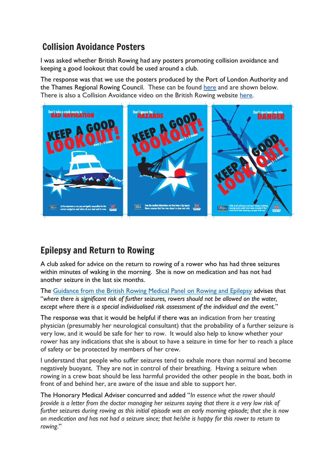## Collision Avoidance Posters

I was asked whether British Rowing had any posters promoting collision avoidance and keeping a good lookout that could be used around a club.

The response was that we use the posters produced by the Port of London Authority and the Thames Regional Rowing Council. These can be found [here](https://pla.co.uk/Safety/SMS/The-LOOKOUT-Campaign) and are shown below. There is also a Collision Avoidance video on the British Rowing website [here.](https://www.britishrowing.org/knowledge/safety/collision-avoidance/)



## Epilepsy and Return to Rowing

A club asked for advice on the return to rowing of a rower who has had three seizures within minutes of waking in the morning. She is now on medication and has not had another seizure in the last six months.

The [Guidance from the British Rowing Medical Panel on Rowing and Epilepsy](https://www.britishrowing.org/knowledge/safety/health-and-fitness/rowing-and-epilepsy/) advises that "*where there is significant risk of further seizures, rowers should not be allowed on the water, except where there is a special individualised risk assessment of the individual and the event.*"

The response was that it would be helpful if there was an indication from her treating physician (presumably her neurological consultant) that the probability of a further seizure is very low, and it would be safe for her to row. It would also help to know whether your rower has any indications that she is about to have a seizure in time for her to reach a place of safety or be protected by members of her crew.

I understand that people who suffer seizures tend to exhale more than normal and become negatively buoyant. They are not in control of their breathing. Having a seizure when rowing in a crew boat should be less harmful provided the other people in the boat, both in front of and behind her, are aware of the issue and able to support her.

The Honorary Medical Adviser concurred and added "*In essence what the rower should provide is a letter from the doctor managing her seizures saying that there is a very low risk of further seizures during rowing as this initial episode was an early morning episode; that she is now on medication and has not had a seizure since; that he/she is happy for this rower to return to rowing*."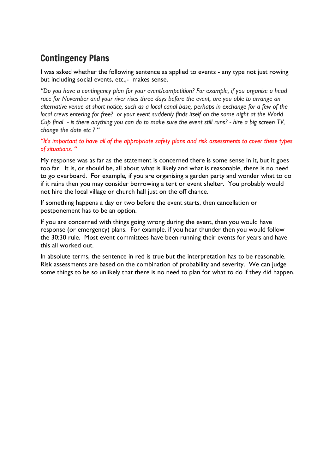## Contingency Plans

I was asked whether the following sentence as applied to events - any type not just rowing but including social events, etc.,- makes sense.

*"Do you have a contingency plan for your event/competition? For example, if you organise a head race for November and your river rises three days before the event, are you able to arrange an alternative venue at short notice, such as a local canal base, perhaps in exchange for a few of the local crews entering for free? or your event suddenly finds itself on the same night at the World Cup final - is there anything you can do to make sure the event still runs? - hire a big screen TV, change the date etc ?* "

*"It's important to have all of the appropriate safety plans and risk assessments to cover these types of situations. "*

My response was as far as the statement is concerned there is some sense in it, but it goes too far. It is, or should be, all about what is likely and what is reasonable, there is no need to go overboard. For example, if you are organising a garden party and wonder what to do if it rains then you may consider borrowing a tent or event shelter. You probably would not hire the local village or church hall just on the off chance.

If something happens a day or two before the event starts, then cancellation or postponement has to be an option.

If you are concerned with things going wrong during the event, then you would have response (or emergency) plans. For example, if you hear thunder then you would follow the 30:30 rule. Most event committees have been running their events for years and have this all worked out.

In absolute terms, the sentence in red is true but the interpretation has to be reasonable. Risk assessments are based on the combination of probability and severity. We can judge some things to be so unlikely that there is no need to plan for what to do if they did happen.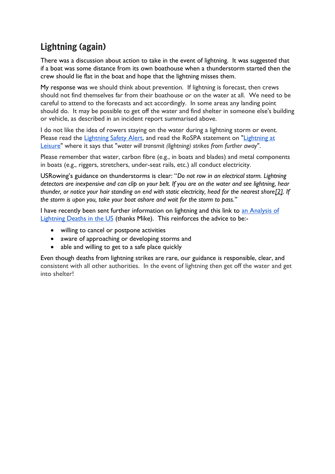## Lightning (again)

There was a discussion about action to take in the event of lightning. It was suggested that if a boat was some distance from its own boathouse when a thunderstorm started then the crew should lie flat in the boat and hope that the lightning misses them.

My response was we should think about prevention. If lightning is forecast, then crews should not find themselves far from their boathouse or on the water at all. We need to be careful to attend to the forecasts and act accordingly. In some areas any landing point should do. It may be possible to get off the water and find shelter in someone else's building or vehicle, as described in an incident report summarised above.

I do not like the idea of rowers staying on the water during a lightning storm or event. Please read the [Lightning Safety Alert,](https://www.britishrowing.org/wp-content/uploads/2020/08/Safety-Alert-Lightning-August-2020.pdf) and read the RoSPA statement on "Lightning at [Leisure"](https://www.rospa.com/leisure-safety/advice/lightning) where it says that "*water will transmit (lightning) strikes from further away*".

Please remember that water, carbon fibre (e.g., in boats and blades) and metal components in boats (e.g., riggers, stretchers, under-seat rails, etc.) all conduct electricity.

USRowing's guidance on thunderstorms is clear: "*Do not row in an electrical storm. Lightning detectors are inexpensive and can clip on your belt. If you are on the water and see lightning, hear thunder, or notice your hair standing on end with static electricity, head for the nearest shor[e\[2\].](https://rowsafeusa.org/thunder-and-lightening/#_ftn1) If the storm is upon you, take your boat ashore and wait for the storm to pass."*

I have recently been sent further information on lightning and this link to [an Analysis of](https://www.weather.gov/media/safety/Analysis06-19.pdf) [Lightning Deaths in the US](https://www.weather.gov/media/safety/Analysis06-19.pdf) (thanks Mike). This reinforces the advice to be:-

- willing to cancel or postpone activities
- aware of approaching or developing storms and
- able and willing to get to a safe place quickly

Even though deaths from lightning strikes are rare, our guidance is responsible, clear, and consistent with all other authorities. In the event of lightning then get off the water and get into shelter!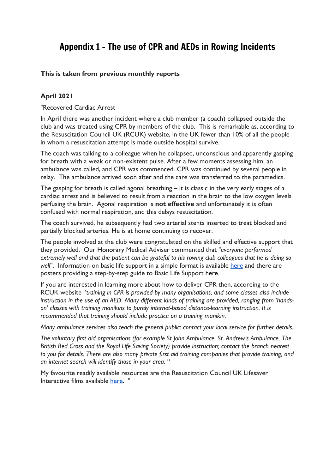## Appendix 1 - The use of CPR and AEDs in Rowing Incidents

## **This is taken from previous monthly reports**

## **April 2021**

"Recovered Cardiac Arrest

In April there was another incident where a club member (a coach) collapsed outside the club and was treated using CPR by members of the club. This is remarkable as, according to the Resuscitation Council UK (RCUK) website, in the UK fewer than 10% of all the people in whom a resuscitation attempt is made outside hospital survive.

The coach was talking to a colleague when he collapsed, unconscious and apparently gasping for breath with a weak or non-existent pulse. After a few moments assessing him, an ambulance was called, and CPR was commenced. CPR was continued by several people in relay. The ambulance arrived soon after and the care was transferred to the paramedics.

The gasping for breath is called agonal breathing – it is classic in the very early stages of a cardiac arrest and is believed to result from a reaction in the brain to the low oxygen levels perfusing the brain. Agonal respiration is **not effective** and unfortunately it is often confused with normal respiration, and this delays resuscitation.

The coach survived, he subsequently had two arterial stents inserted to treat blocked and partially blocked arteries. He is at home continuing to recover.

The people involved at the club were congratulated on the skilled and effective support that they provided. Our Honorary Medical Adviser commented that "*everyone performed* extremely well and that the patient can be grateful to his rowing club colleagues that he is doing so *well*". Information on basic life support in a simple format is available [here](https://cprguidelines.eu/) and there are posters providing a step-by-step guide to Basic Life Support here.

If you are interested in learning more about how to deliver CPR then, according to the RCUK website "*training in CPR is provided by many organisations, and some classes also include* instruction in the use of an AED. Many different kinds of training are provided, ranging from 'hands*on' classes with training manikins to purely internet-based distance-learning instruction. It is recommended that training should include practice on a training manikin.*

*Many ambulance services also teach the general public: contact your local service for further details.*

*The voluntary first aid organisations (for example St John Ambulance, St. Andrew's Ambulance, The British Red Cross and the Royal Life Saving Society) provide instruction; contact the branch nearest to you for details. There are also many private first aid training companies that provide training, and an internet search will identify those in your area*. "

My favourite readily available resources are the Resuscitation Council UK Lifesaver Interactive films available [here.](https://life-saver.org.uk/) "